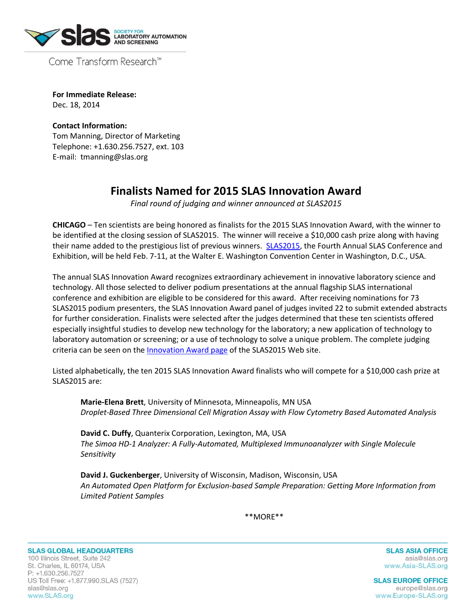

Come Transform Research™

**For Immediate Release:**  Dec. 18, 2014

**Contact Information:**  Tom Manning, Director of Marketing Telephone: +1.630.256.7527, ext. 103 E-mail: tmanning@slas.org

## **Finalists Named for 2015 SLAS Innovation Award**

*Final round of judging and winner announced at SLAS2015*

**CHICAGO** – Ten scientists are being honored as finalists for the 2015 SLAS Innovation Award, with the winner to be identified at the closing session of SLAS2015. The winner will receive a \$10,000 cash prize along with having their name added to the prestigious list of previous winners. **SLAS2015**, the Fourth Annual SLAS Conference and Exhibition, will be held Feb. 7-11, at the Walter E. Washington Convention Center in Washington, D.C., USA.

The annual SLAS Innovation Award recognizes extraordinary achievement in innovative laboratory science and technology. All those selected to deliver podium presentations at the annual flagship SLAS international conference and exhibition are eligible to be considered for this award. After receiving nominations for 73 SLAS2015 podium presenters, the SLAS Innovation Award panel of judges invited 22 to submit extended abstracts for further consideration. Finalists were selected after the judges determined that these ten scientists offered especially insightful studies to develop new technology for the laboratory; a new application of technology to laboratory automation or screening; or a use of technology to solve a unique problem. The complete judging criteria can be seen on the [Innovation Award page](http://www.slas2015.org/awards/innovationAward.cfm) of the SLAS2015 Web site.

Listed alphabetically, the ten 2015 SLAS Innovation Award finalists who will compete for a \$10,000 cash prize at SLAS2015 are:

**Marie-Elena Brett**, University of Minnesota, Minneapolis, MN USA *Droplet-Based Three Dimensional Cell Migration Assay with Flow Cytometry Based Automated Analysis*

**David C. Duffy**, Quanterix Corporation, Lexington, MA, USA *The Simoa HD-1 Analyzer: A Fully-Automated, Multiplexed Immunoanalyzer with Single Molecule Sensitivity*

**David J. Guckenberger**, University of Wisconsin, Madison, Wisconsin, USA *An Automated Open Platform for Exclusion-based Sample Preparation: Getting More Information from Limited Patient Samples*

\*\*MORE\*\*

**SLAS GLOBAL HEADQUARTERS** 100 Illinois Street, Suite 242 St. Charles, IL 60174, USA P: +1.630.256.7527 US Toll Free: +1.877.990.SLAS (7527) slas@slas.org www.SLAS.org

**SLAS ASIA OFFICE** asia@slas.org www.Asia-SLAS.org

**SLAS EUROPE OFFICE** europe@slas.org www.Europe-SLAS.org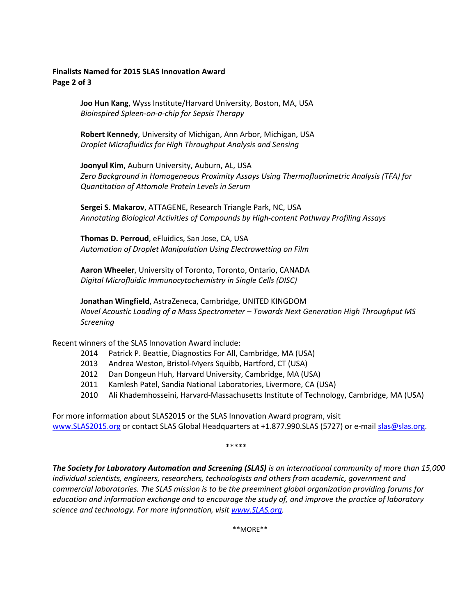## **Finalists Named for 2015 SLAS Innovation Award Page 2 of 3**

**Joo Hun Kang**, Wyss Institute/Harvard University, Boston, MA, USA *Bioinspired Spleen-on-a-chip for Sepsis Therapy*

**Robert Kennedy**, University of Michigan, Ann Arbor, Michigan, USA *Droplet Microfluidics for High Throughput Analysis and Sensing*

**Joonyul Kim**, Auburn University, Auburn, AL, USA *Zero Background in Homogeneous Proximity Assays Using Thermofluorimetric Analysis (TFA) for Quantitation of Attomole Protein Levels in Serum*

**Sergei S. Makarov**, ATTAGENE, Research Triangle Park, NC, USA *Annotating Biological Activities of Compounds by High-content Pathway Profiling Assays*

**Thomas D. Perroud**, eFluidics, San Jose, CA, USA *Automation of Droplet Manipulation Using Electrowetting on Film*

**Aaron Wheeler**, University of Toronto, Toronto, Ontario, CANADA *Digital Microfluidic Immunocytochemistry in Single Cells (DISC)*

**Jonathan Wingfield**, AstraZeneca, Cambridge, UNITED KINGDOM *Novel Acoustic Loading of a Mass Spectrometer – Towards Next Generation High Throughput MS Screening*

Recent winners of the SLAS Innovation Award include:

- 2014 Patrick P. Beattie, Diagnostics For All, Cambridge, MA (USA)
- 2013 Andrea Weston, Bristol-Myers Squibb, Hartford, CT (USA)
- 2012 Dan Dongeun Huh, Harvard University, Cambridge, MA (USA)
- 2011 Kamlesh Patel, Sandia National Laboratories, Livermore, CA (USA)
- 2010 Ali Khademhosseini, Harvard-Massachusetts Institute of Technology, Cambridge, MA (USA)

For more information about SLAS2015 or the SLAS Innovation Award program, visit [www.SLAS2015.org](http://www.slas2015.org/) or contact SLAS Global Headquarters at +1.877.990.SLAS (5727) or e-mail [slas@slas.org.](mailto:slas@slas.org)

\*\*\*\*\*

*The Society for Laboratory Automation and Screening (SLAS) is an international community of more than 15,000 individual scientists, engineers, researchers, technologists and others from academic, government and commercial laboratories. The SLAS mission is to be the preeminent global organization providing forums for education and information exchange and to encourage the study of, and improve the practice of laboratory science and technology. For more information, visi[t www.SLAS.org.](http://www.slas.org/)* 

\*\*MORE\*\*